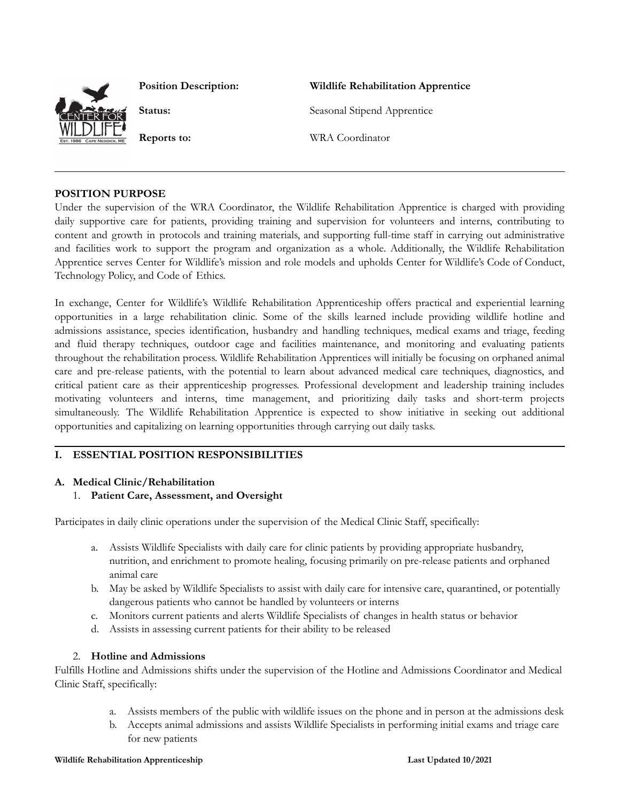

**Position Description: Wildlife Rehabilitation Apprentice**

**Status:** Seasonal Stipend Apprentice

**Reports to:** WRA Coordinator

### **POSITION PURPOSE**

Under the supervision of the WRA Coordinator, the Wildlife Rehabilitation Apprentice is charged with providing daily supportive care for patients, providing training and supervision for volunteers and interns, contributing to content and growth in protocols and training materials, and supporting full-time staff in carrying out administrative and facilities work to support the program and organization as a whole. Additionally, the Wildlife Rehabilitation Apprentice serves Center for Wildlife's mission and role models and upholds Center for Wildlife's Code of Conduct, Technology Policy, and Code of Ethics.

In exchange, Center for Wildlife's Wildlife Rehabilitation Apprenticeship offers practical and experiential learning opportunities in a large rehabilitation clinic. Some of the skills learned include providing wildlife hotline and admissions assistance, species identification, husbandry and handling techniques, medical exams and triage, feeding and fluid therapy techniques, outdoor cage and facilities maintenance, and monitoring and evaluating patients throughout the rehabilitation process. Wildlife Rehabilitation Apprentices will initially be focusing on orphaned animal care and pre-release patients, with the potential to learn about advanced medical care techniques, diagnostics, and critical patient care as their apprenticeship progresses. Professional development and leadership training includes motivating volunteers and interns, time management, and prioritizing daily tasks and short-term projects simultaneously. The Wildlife Rehabilitation Apprentice is expected to show initiative in seeking out additional opportunities and capitalizing on learning opportunities through carrying out daily tasks.

# **I. ESSENTIAL POSITION RESPONSIBILITIES**

### **A. Medical Clinic/Rehabilitation**

1. **Patient Care, Assessment, and Oversight**

Participates in daily clinic operations under the supervision of the Medical Clinic Staff, specifically:

- a. Assists Wildlife Specialists with daily care for clinic patients by providing appropriate husbandry, nutrition, and enrichment to promote healing, focusing primarily on pre-release patients and orphaned animal care
- b. May be asked by Wildlife Specialists to assist with daily care for intensive care, quarantined, or potentially dangerous patients who cannot be handled by volunteers or interns
- c. Monitors current patients and alerts Wildlife Specialists of changes in health status or behavior
- d. Assists in assessing current patients for their ability to be released

# 2. **Hotline and Admissions**

Fulfills Hotline and Admissions shifts under the supervision of the Hotline and Admissions Coordinator and Medical Clinic Staff, specifically:

- a. Assists members of the public with wildlife issues on the phone and in person at the admissions desk
- b. Accepts animal admissions and assists Wildlife Specialists in performing initial exams and triage care for new patients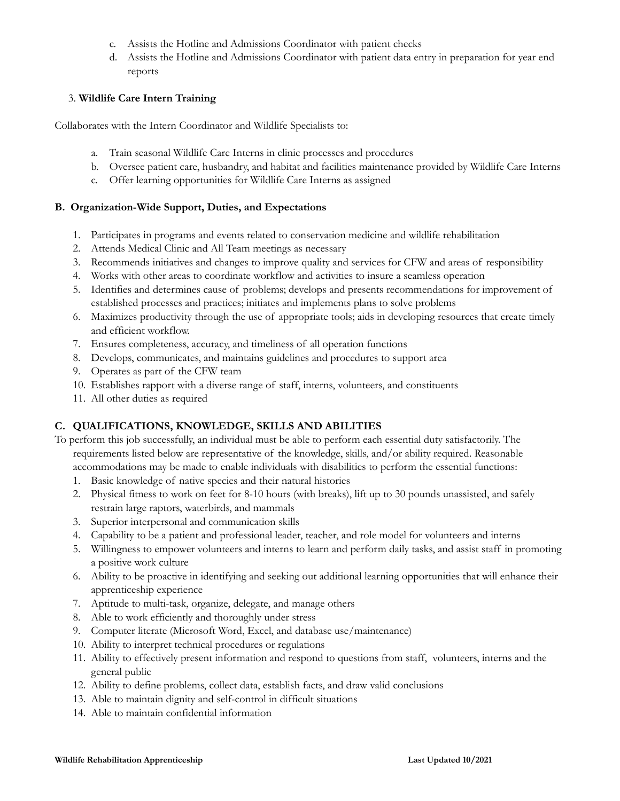- c. Assists the Hotline and Admissions Coordinator with patient checks
- d. Assists the Hotline and Admissions Coordinator with patient data entry in preparation for year end reports

## 3. **Wildlife Care Intern Training**

Collaborates with the Intern Coordinator and Wildlife Specialists to:

- a. Train seasonal Wildlife Care Interns in clinic processes and procedures
- b. Oversee patient care, husbandry, and habitat and facilities maintenance provided by Wildlife Care Interns
- c. Offer learning opportunities for Wildlife Care Interns as assigned

## **B. Organization-Wide Support, Duties, and Expectations**

- 1. Participates in programs and events related to conservation medicine and wildlife rehabilitation
- 2. Attends Medical Clinic and All Team meetings as necessary
- 3. Recommends initiatives and changes to improve quality and services for CFW and areas of responsibility
- 4. Works with other areas to coordinate workflow and activities to insure a seamless operation
- 5. Identifies and determines cause of problems; develops and presents recommendations for improvement of established processes and practices; initiates and implements plans to solve problems
- 6. Maximizes productivity through the use of appropriate tools; aids in developing resources that create timely and efficient workflow.
- 7. Ensures completeness, accuracy, and timeliness of all operation functions
- 8. Develops, communicates, and maintains guidelines and procedures to support area
- 9. Operates as part of the CFW team
- 10. Establishes rapport with a diverse range of staff, interns, volunteers, and constituents
- 11. All other duties as required

# **C. QUALIFICATIONS, KNOWLEDGE, SKILLS AND ABILITIES**

To perform this job successfully, an individual must be able to perform each essential duty satisfactorily. The requirements listed below are representative of the knowledge, skills, and/or ability required. Reasonable

- accommodations may be made to enable individuals with disabilities to perform the essential functions:
- 1. Basic knowledge of native species and their natural histories
- 2. Physical fitness to work on feet for 8-10 hours (with breaks), lift up to 30 pounds unassisted, and safely restrain large raptors, waterbirds, and mammals
- 3. Superior interpersonal and communication skills
- 4. Capability to be a patient and professional leader, teacher, and role model for volunteers and interns
- 5. Willingness to empower volunteers and interns to learn and perform daily tasks, and assist staff in promoting a positive work culture
- 6. Ability to be proactive in identifying and seeking out additional learning opportunities that will enhance their apprenticeship experience
- 7. Aptitude to multi-task, organize, delegate, and manage others
- 8. Able to work efficiently and thoroughly under stress
- 9. Computer literate (Microsoft Word, Excel, and database use/maintenance)
- 10. Ability to interpret technical procedures or regulations
- 11. Ability to effectively present information and respond to questions from staff, volunteers, interns and the general public
- 12. Ability to define problems, collect data, establish facts, and draw valid conclusions
- 13. Able to maintain dignity and self-control in difficult situations
- 14. Able to maintain confidential information